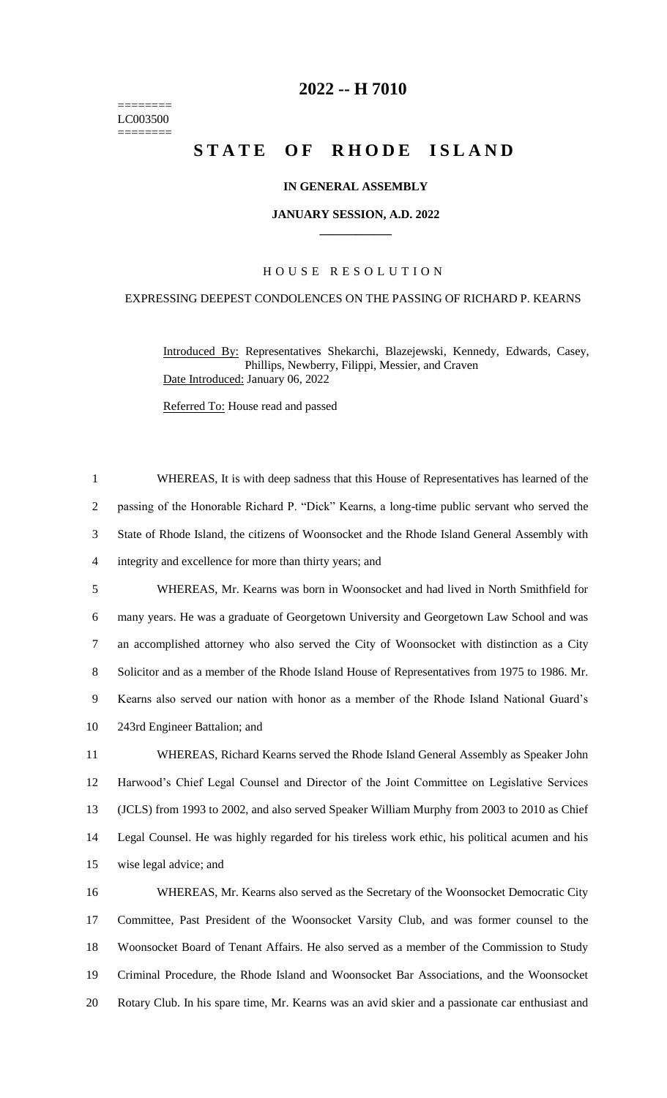======== LC003500 ========

# **-- H 7010**

# **STATE OF RHODE ISLAND**

## **IN GENERAL ASSEMBLY**

#### **JANUARY SESSION, A.D. 2022 \_\_\_\_\_\_\_\_\_\_\_\_**

## H O U S E R E S O L U T I O N

## EXPRESSING DEEPEST CONDOLENCES ON THE PASSING OF RICHARD P. KEARNS

WHEREAS, It is with deep sadness that this House of Representatives has learned of the

Introduced By: Representatives Shekarchi, Blazejewski, Kennedy, Edwards, Casey, Phillips, Newberry, Filippi, Messier, and Craven Date Introduced: January 06, 2022

Referred To: House read and passed

 passing of the Honorable Richard P. "Dick" Kearns, a long-time public servant who served the State of Rhode Island, the citizens of Woonsocket and the Rhode Island General Assembly with integrity and excellence for more than thirty years; and WHEREAS, Mr. Kearns was born in Woonsocket and had lived in North Smithfield for many years. He was a graduate of Georgetown University and Georgetown Law School and was an accomplished attorney who also served the City of Woonsocket with distinction as a City Solicitor and as a member of the Rhode Island House of Representatives from 1975 to 1986. Mr. Kearns also served our nation with honor as a member of the Rhode Island National Guard's 243rd Engineer Battalion; and WHEREAS, Richard Kearns served the Rhode Island General Assembly as Speaker John Harwood's Chief Legal Counsel and Director of the Joint Committee on Legislative Services (JCLS) from 1993 to 2002, and also served Speaker William Murphy from 2003 to 2010 as Chief Legal Counsel. He was highly regarded for his tireless work ethic, his political acumen and his wise legal advice; and WHEREAS, Mr. Kearns also served as the Secretary of the Woonsocket Democratic City Committee, Past President of the Woonsocket Varsity Club, and was former counsel to the Woonsocket Board of Tenant Affairs. He also served as a member of the Commission to Study Criminal Procedure, the Rhode Island and Woonsocket Bar Associations, and the Woonsocket Rotary Club. In his spare time, Mr. Kearns was an avid skier and a passionate car enthusiast and